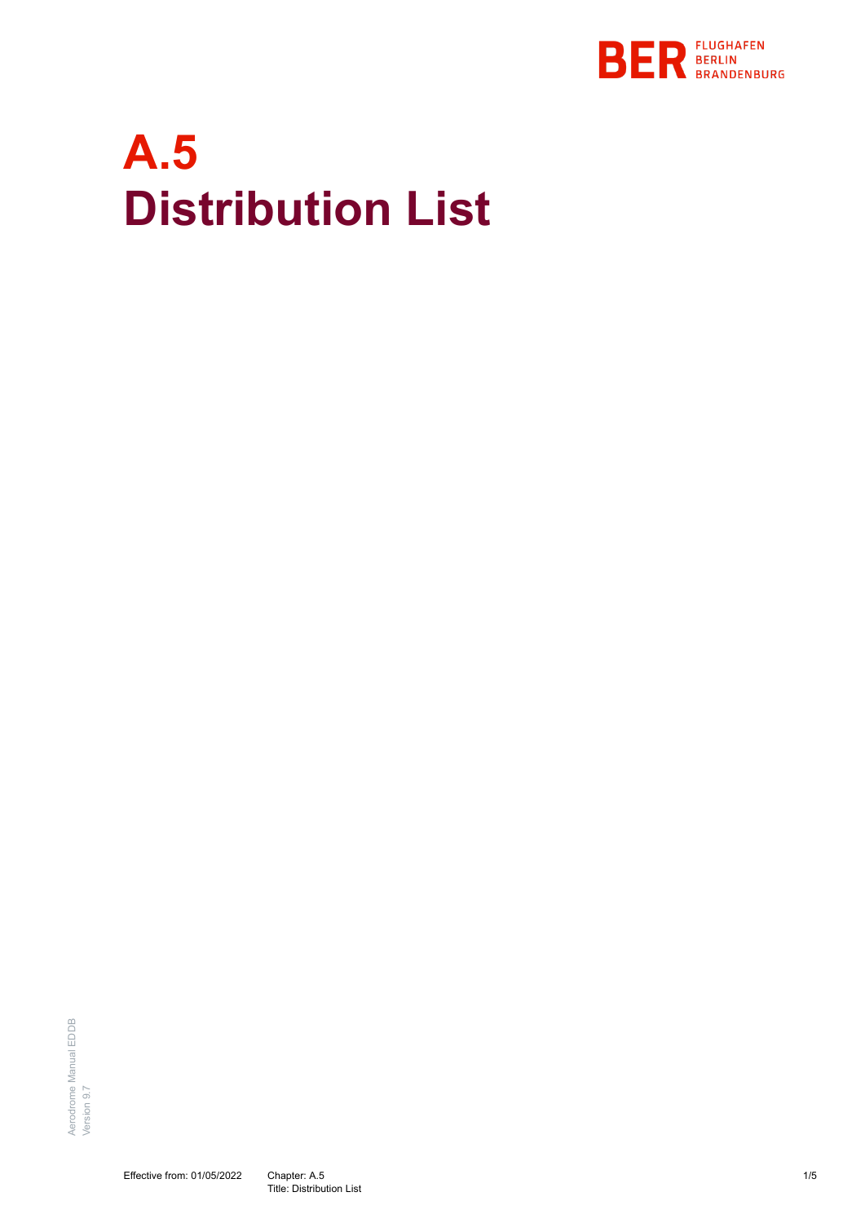

## **A.5 Distribution List**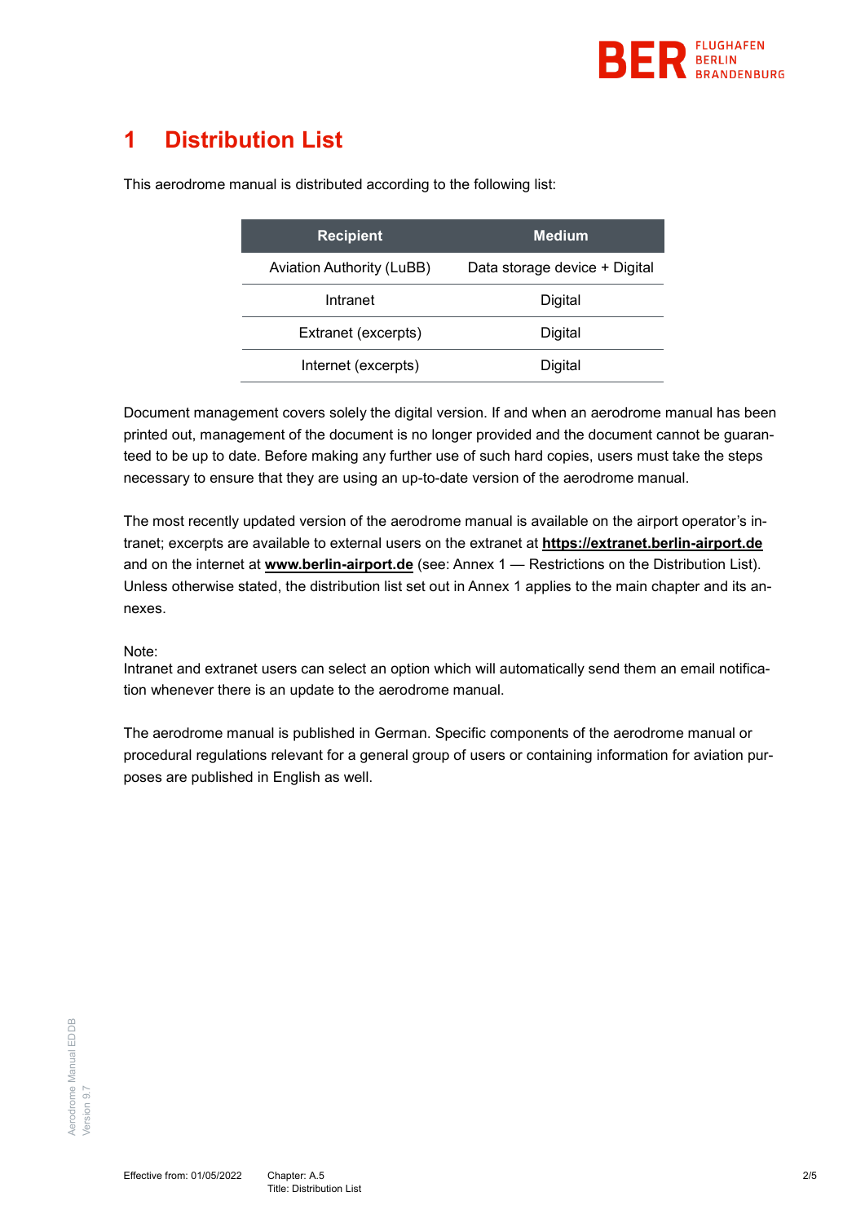

## **1 Distribution List**

| <b>Recipient</b>                 | <b>Medium</b>                 |
|----------------------------------|-------------------------------|
| <b>Aviation Authority (LuBB)</b> | Data storage device + Digital |
| Intranet                         | Digital                       |
| Extranet (excerpts)              | Digital                       |
| Internet (excerpts)              | Digital                       |

This aerodrome manual is distributed according to the following list:

Document management covers solely the digital version. If and when an aerodrome manual has been printed out, management of the document is no longer provided and the document cannot be guaranteed to be up to date. Before making any further use of such hard copies, users must take the steps necessary to ensure that they are using an up-to-date version of the aerodrome manual.

The most recently updated version of the aerodrome manual is available on the airport operator's intranet; excerpts are available to external users on the extranet at **[https://extranet.berlin-airport.de](https://extranet.berlin-airport.de/)** and on the internet at **[www.berlin-airport.de](http://www.berlin-airport.de/)** (see: Annex 1 — [Restrictions on the Distribution List\)](#page-2-0). Unless otherwise stated, the distribution list set out in Annex 1 applies to the main chapter and its annexes.

## Note:

Intranet and extranet users can select an option which will automatically send them an email notification whenever there is an update to the aerodrome manual.

The aerodrome manual is published in German. Specific components of the aerodrome manual or procedural regulations relevant for a general group of users or containing information for aviation purposes are published in English as well.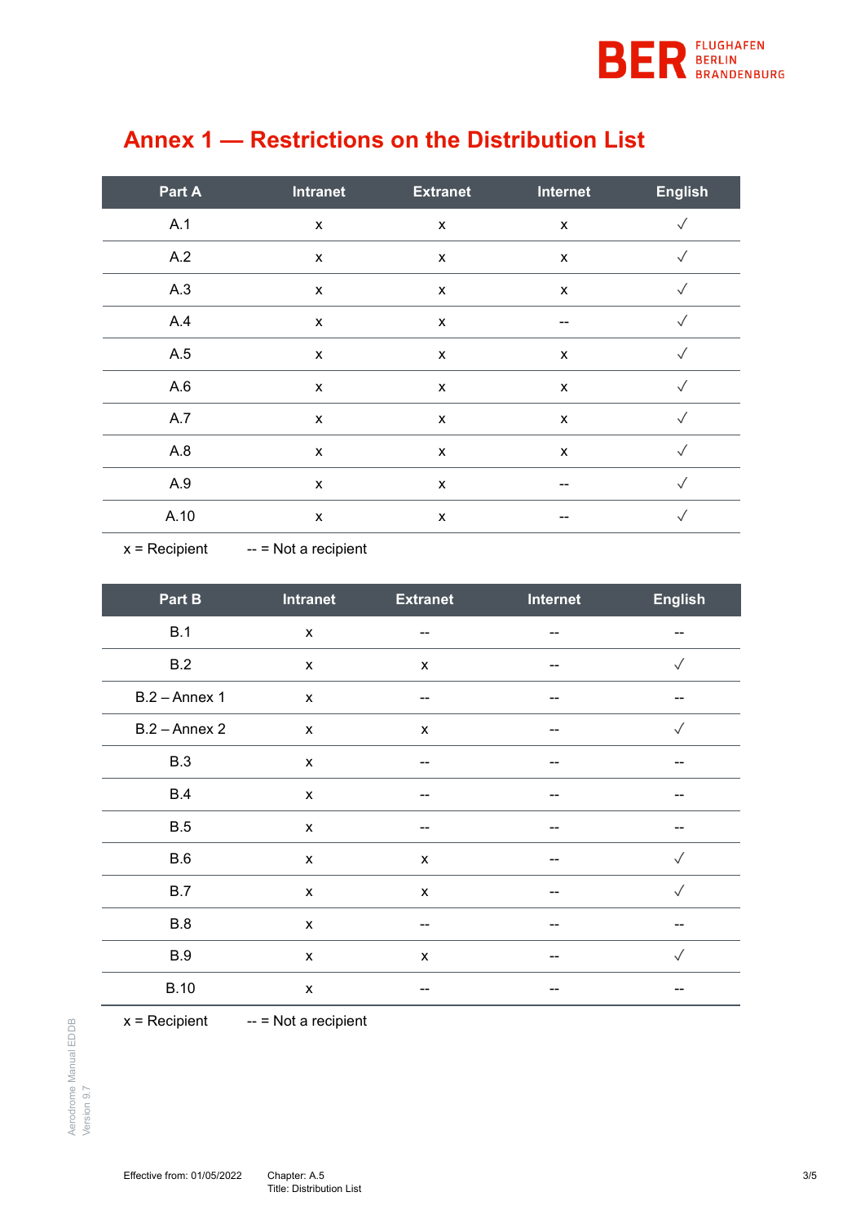

| Part A | <b>Intranet</b>           | <b>Extranet</b>           | <b>Internet</b>    | <b>English</b> |
|--------|---------------------------|---------------------------|--------------------|----------------|
| A.1    | $\boldsymbol{\mathsf{x}}$ | $\boldsymbol{\mathsf{x}}$ | $\pmb{\mathsf{x}}$ | $\sqrt{}$      |
| A.2    | X                         | $\pmb{\mathsf{X}}$        | X                  | $\sqrt{}$      |
| A.3    | X                         | X                         | X                  | $\sqrt{}$      |
| A.4    | $\pmb{\chi}$              | X                         | --                 | $\sqrt{}$      |
| A.5    | X                         | X                         | X                  | $\sqrt{}$      |
| A.6    | X                         | X                         | X                  | $\sqrt{}$      |
| A.7    | X                         | $\pmb{\mathsf{X}}$        | $\pmb{\mathsf{x}}$ | $\checkmark$   |
| A.8    | X                         | $\pmb{\mathsf{X}}$        | X                  | $\checkmark$   |
| A.9    | X                         | $\pmb{\chi}$              | --                 | $\checkmark$   |
| A.10   | X                         | $\boldsymbol{\mathsf{x}}$ | --                 | $\checkmark$   |

## <span id="page-2-0"></span>**Annex 1 — Restrictions on the Distribution List**

 $x =$  Recipient  $-$  = Not a recipient

| Part B          | <b>Intranet</b>           | <b>Extranet</b>    | Internet | <b>English</b> |
|-----------------|---------------------------|--------------------|----------|----------------|
| B.1             | X                         | --                 | --       | $\sim$         |
| B.2             | $\mathsf{x}$              | $\pmb{\mathsf{X}}$ |          | $\checkmark$   |
| $B.2 -$ Annex 1 | $\mathsf{x}$              | --                 | --       | --             |
| $B.2 -$ Annex 2 | $\boldsymbol{\mathsf{x}}$ | X                  |          | $\checkmark$   |
| <b>B.3</b>      | $\pmb{\mathsf{X}}$        |                    |          |                |
| <b>B.4</b>      | $\boldsymbol{\mathsf{X}}$ |                    |          |                |
| <b>B.5</b>      | $\pmb{\mathsf{X}}$        |                    |          | --             |
| <b>B.6</b>      | X                         | X                  | --       | $\checkmark$   |
| <b>B.7</b>      | $\boldsymbol{\mathsf{X}}$ | X                  |          | $\sqrt{}$      |
| <b>B.8</b>      | X                         | --                 |          |                |
| <b>B.9</b>      | X                         | X                  | --       | $\checkmark$   |
| <b>B.10</b>     | X                         |                    | --       |                |

 $x = Recipient$  -- = Not a recipient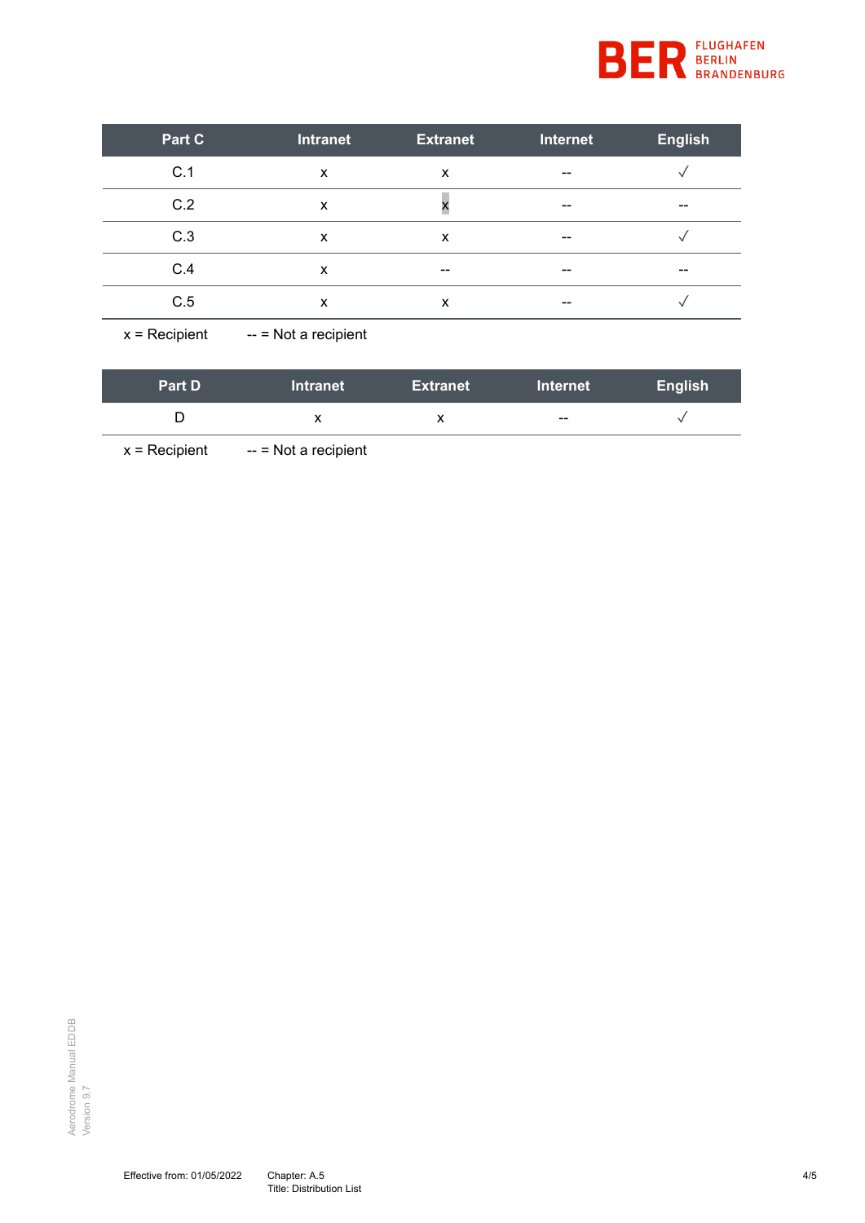

| Part C | Intranet | <b>Extranet</b> | Internet                 | <b>English</b> |
|--------|----------|-----------------|--------------------------|----------------|
| C.1    | X        | X               | $-$                      |                |
| C.2    | х        |                 | $-$                      | --             |
| C.3    | X        | х               | $\overline{\phantom{m}}$ |                |
| C.4    | X        | --              | $-$                      | --             |
| C.5    | X        | X               | $-$                      |                |

 $x = Recipient$  -- = Not a recipient

| <b>Part D</b> | <b>Intranet</b> | <b>Extranet</b> | <b>Internet</b> | <b>English</b> |
|---------------|-----------------|-----------------|-----------------|----------------|
|               |                 |                 | $- -$           |                |

 $x = Recipient$  -- = Not a recipient